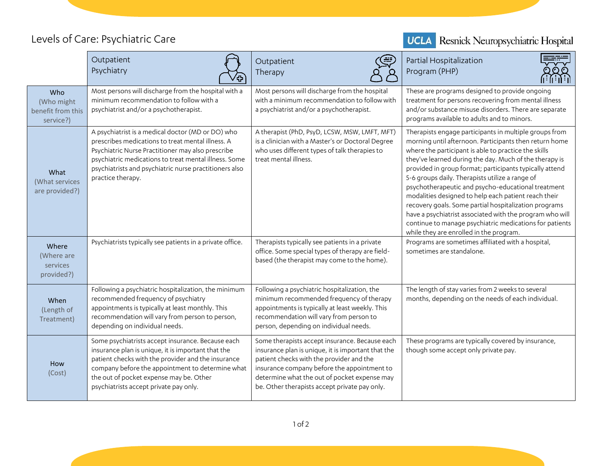## Levels of Care: Psychiatric Care



|                                                     | Outpatient<br>Psychiatry                                                                                                                                                                                                                                                                               | Outpatient<br>Therapy                                                                                                                                                                                                                                                                            | Partial Hospitalization<br>Program (PHP)                                                                                                                                                                                                                                                                                                                                                                                                                                                                                                                                                                                                                                                  |
|-----------------------------------------------------|--------------------------------------------------------------------------------------------------------------------------------------------------------------------------------------------------------------------------------------------------------------------------------------------------------|--------------------------------------------------------------------------------------------------------------------------------------------------------------------------------------------------------------------------------------------------------------------------------------------------|-------------------------------------------------------------------------------------------------------------------------------------------------------------------------------------------------------------------------------------------------------------------------------------------------------------------------------------------------------------------------------------------------------------------------------------------------------------------------------------------------------------------------------------------------------------------------------------------------------------------------------------------------------------------------------------------|
| Who<br>(Who might<br>benefit from this<br>service?) | Most persons will discharge from the hospital with a<br>minimum recommendation to follow with a<br>psychiatrist and/or a psychotherapist.                                                                                                                                                              | Most persons will discharge from the hospital<br>with a minimum recommendation to follow with<br>a psychiatrist and/or a psychotherapist.                                                                                                                                                        | These are programs designed to provide ongoing<br>treatment for persons recovering from mental illness<br>and/or substance misuse disorders. There are separate<br>programs available to adults and to minors.                                                                                                                                                                                                                                                                                                                                                                                                                                                                            |
| What<br>(What services<br>are provided?)            | A psychiatrist is a medical doctor (MD or DO) who<br>prescribes medications to treat mental illness. A<br>Psychiatric Nurse Practitioner may also prescribe<br>psychiatric medications to treat mental illness. Some<br>psychiatrists and psychiatric nurse practitioners also<br>practice therapy.    | A therapist (PhD, PsyD, LCSW, MSW, LMFT, MFT)<br>is a clinician with a Master's or Doctoral Degree<br>who uses different types of talk therapies to<br>treat mental illness.                                                                                                                     | Therapists engage participants in multiple groups from<br>morning until afternoon. Participants then return home<br>where the participant is able to practice the skills<br>they've learned during the day. Much of the therapy is<br>provided in group format; participants typically attend<br>5-6 groups daily. Therapists utilize a range of<br>psychotherapeutic and psycho-educational treatment<br>modalities designed to help each patient reach their<br>recovery goals. Some partial hospitalization programs<br>have a psychiatrist associated with the program who will<br>continue to manage psychiatric medications for patients<br>while they are enrolled in the program. |
| Where<br>(Where are<br>services<br>provided?)       | Psychiatrists typically see patients in a private office.                                                                                                                                                                                                                                              | Therapists typically see patients in a private<br>office. Some special types of therapy are field-<br>based (the therapist may come to the home).                                                                                                                                                | Programs are sometimes affiliated with a hospital,<br>sometimes are standalone.                                                                                                                                                                                                                                                                                                                                                                                                                                                                                                                                                                                                           |
| When<br>(Length of<br>Treatment)                    | Following a psychiatric hospitalization, the minimum<br>recommended frequency of psychiatry<br>appointments is typically at least monthly. This<br>recommendation will vary from person to person,<br>depending on individual needs.                                                                   | Following a psychiatric hospitalization, the<br>minimum recommended frequency of therapy<br>appointments is typically at least weekly. This<br>recommendation will vary from person to<br>person, depending on individual needs.                                                                 | The length of stay varies from 2 weeks to several<br>months, depending on the needs of each individual.                                                                                                                                                                                                                                                                                                                                                                                                                                                                                                                                                                                   |
| How<br>(Cost)                                       | Some psychiatrists accept insurance. Because each<br>insurance plan is unique, it is important that the<br>patient checks with the provider and the insurance<br>company before the appointment to determine what<br>the out of pocket expense may be. Other<br>psychiatrists accept private pay only. | Some therapists accept insurance. Because each<br>insurance plan is unique, it is important that the<br>patient checks with the provider and the<br>insurance company before the appointment to<br>determine what the out of pocket expense may<br>be. Other therapists accept private pay only. | These programs are typically covered by insurance,<br>though some accept only private pay.                                                                                                                                                                                                                                                                                                                                                                                                                                                                                                                                                                                                |